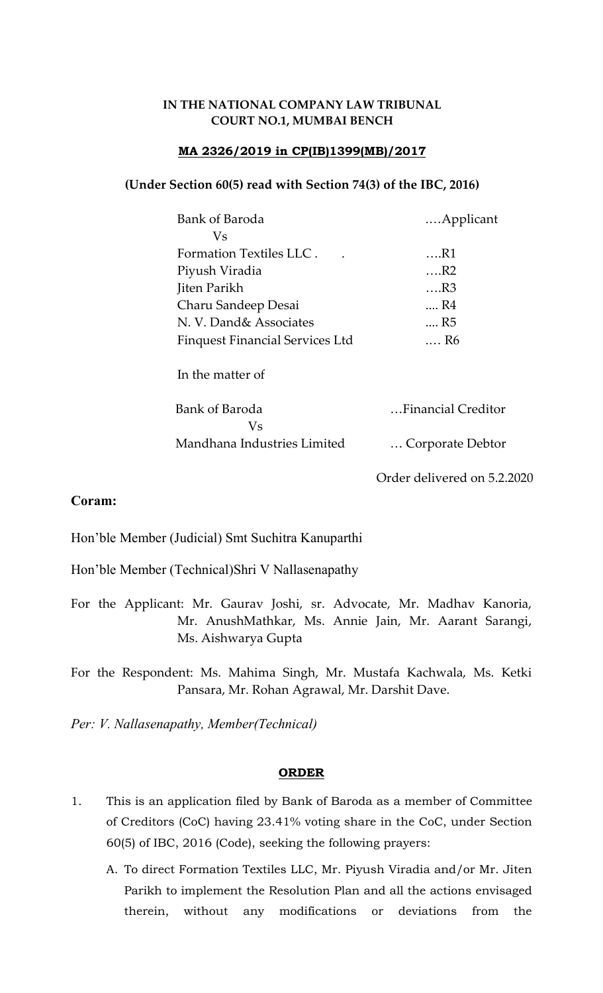# IN THE NATIONAL COMPANY LAW TRIBUNAL COURT NO.1, MUMBAI BENCH

# MA 2326/2019 in CP(IB)1399(MB)/2017

### (Under Section 60(5) read with Section 74(3) of the IBC, 2016)

| Bank of Baroda                         | Applicant                   |
|----------------------------------------|-----------------------------|
| Vs                                     |                             |
| Formation Textiles LLC.                | $\dots R1$                  |
| Piyush Viradia                         | $\dots$ R2                  |
| Jiten Parikh                           | $\dots$ R3                  |
| Charu Sandeep Desai                    | R4                          |
| N. V. Dand& Associates                 | R <sub>5</sub>              |
| <b>Finquest Financial Services Ltd</b> | R6                          |
| In the matter of                       |                             |
| Bank of Baroda<br>Vs                   | Financial Creditor          |
| Mandhana Industries Limited            | Corporate Debtor            |
|                                        | Order delivered on 5.2.2020 |

Coram:

Hon'ble Member (Judicial) Smt Suchitra Kanuparthi

Hon'ble Member (Technical)Shri V Nallasenapathy

For the Applicant: Mr. Gaurav Joshi, sr. Advocate, Mr. Madhav Kanoria, Mr. AnushMathkar, Ms. Annie Jain, Mr. Aarant Sarangi, Ms. Aishwarya Gupta

For the Respondent: Ms. Mahima Singh, Mr. Mustafa Kachwala, Ms. Ketki Pansara, Mr. Rohan Agrawal, Mr. Darshit Dave.

Per: V. Nallasenapathy, Member(Technical)

### ORDER

- 1. This is an application filed by Bank of Baroda as a member of Committee of Creditors (CoC) having 23.41% voting share in the CoC, under Section 60(5) of IBC, 2016 (Code), seeking the following prayers:
	- A. To direct Formation Textiles LLC, Mr. Piyush Viradia and/or Mr. Jiten Parikh to implement the Resolution Plan and all the actions envisaged therein, without any modifications or deviations from the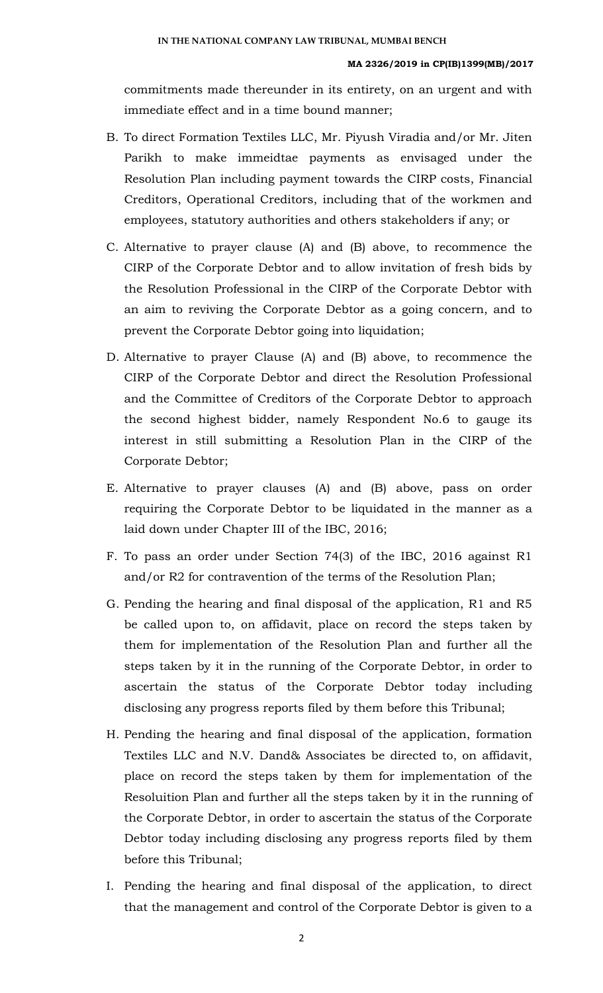commitments made thereunder in its entirety, on an urgent and with immediate effect and in a time bound manner;

- B. To direct Formation Textiles LLC, Mr. Piyush Viradia and/or Mr. Jiten Parikh to make immeidtae payments as envisaged under the Resolution Plan including payment towards the CIRP costs, Financial Creditors, Operational Creditors, including that of the workmen and employees, statutory authorities and others stakeholders if any; or
- C. Alternative to prayer clause (A) and (B) above, to recommence the CIRP of the Corporate Debtor and to allow invitation of fresh bids by the Resolution Professional in the CIRP of the Corporate Debtor with an aim to reviving the Corporate Debtor as a going concern, and to prevent the Corporate Debtor going into liquidation;
- D. Alternative to prayer Clause (A) and (B) above, to recommence the CIRP of the Corporate Debtor and direct the Resolution Professional and the Committee of Creditors of the Corporate Debtor to approach the second highest bidder, namely Respondent No.6 to gauge its interest in still submitting a Resolution Plan in the CIRP of the Corporate Debtor;
- E. Alternative to prayer clauses (A) and (B) above, pass on order requiring the Corporate Debtor to be liquidated in the manner as a laid down under Chapter III of the IBC, 2016;
- F. To pass an order under Section 74(3) of the IBC, 2016 against R1 and/or R2 for contravention of the terms of the Resolution Plan;
- G. Pending the hearing and final disposal of the application, R1 and R5 be called upon to, on affidavit, place on record the steps taken by them for implementation of the Resolution Plan and further all the steps taken by it in the running of the Corporate Debtor, in order to ascertain the status of the Corporate Debtor today including disclosing any progress reports filed by them before this Tribunal;
- H. Pending the hearing and final disposal of the application, formation Textiles LLC and N.V. Dand& Associates be directed to, on affidavit, place on record the steps taken by them for implementation of the Resoluition Plan and further all the steps taken by it in the running of the Corporate Debtor, in order to ascertain the status of the Corporate Debtor today including disclosing any progress reports filed by them before this Tribunal;
- I. Pending the hearing and final disposal of the application, to direct that the management and control of the Corporate Debtor is given to a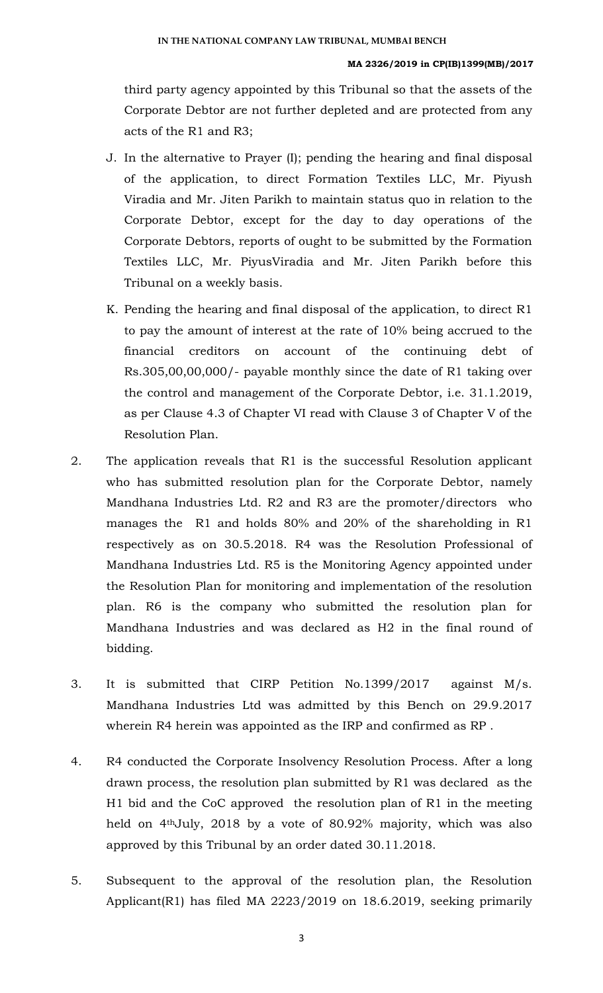#### MA 2326/2019 in CP(IB)1399(MB)/2017

third party agency appointed by this Tribunal so that the assets of the Corporate Debtor are not further depleted and are protected from any acts of the R1 and R3;

- J. In the alternative to Prayer (I); pending the hearing and final disposal of the application, to direct Formation Textiles LLC, Mr. Piyush Viradia and Mr. Jiten Parikh to maintain status quo in relation to the Corporate Debtor, except for the day to day operations of the Corporate Debtors, reports of ought to be submitted by the Formation Textiles LLC, Mr. PiyusViradia and Mr. Jiten Parikh before this Tribunal on a weekly basis.
- K. Pending the hearing and final disposal of the application, to direct R1 to pay the amount of interest at the rate of 10% being accrued to the financial creditors on account of the continuing debt of Rs.305,00,00,000/- payable monthly since the date of R1 taking over the control and management of the Corporate Debtor, i.e. 31.1.2019, as per Clause 4.3 of Chapter VI read with Clause 3 of Chapter V of the Resolution Plan.
- 2. The application reveals that R1 is the successful Resolution applicant who has submitted resolution plan for the Corporate Debtor, namely Mandhana Industries Ltd. R2 and R3 are the promoter/directors who manages the R1 and holds 80% and 20% of the shareholding in R1 respectively as on 30.5.2018. R4 was the Resolution Professional of Mandhana Industries Ltd. R5 is the Monitoring Agency appointed under the Resolution Plan for monitoring and implementation of the resolution plan. R6 is the company who submitted the resolution plan for Mandhana Industries and was declared as H2 in the final round of bidding.
- 3. It is submitted that CIRP Petition No.1399/2017 against M/s. Mandhana Industries Ltd was admitted by this Bench on 29.9.2017 wherein R4 herein was appointed as the IRP and confirmed as RP .
- 4. R4 conducted the Corporate Insolvency Resolution Process. After a long drawn process, the resolution plan submitted by R1 was declared as the H1 bid and the CoC approved the resolution plan of R1 in the meeting held on 4thJuly, 2018 by a vote of 80.92% majority, which was also approved by this Tribunal by an order dated 30.11.2018.
- 5. Subsequent to the approval of the resolution plan, the Resolution Applicant(R1) has filed MA 2223/2019 on 18.6.2019, seeking primarily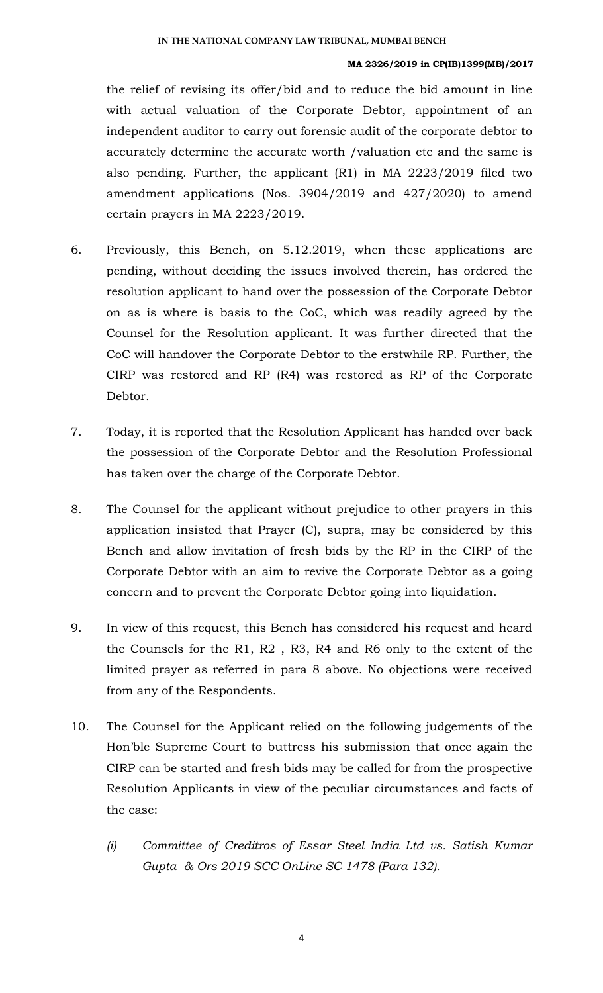#### MA 2326/2019 in CP(IB)1399(MB)/2017

the relief of revising its offer/bid and to reduce the bid amount in line with actual valuation of the Corporate Debtor, appointment of an independent auditor to carry out forensic audit of the corporate debtor to accurately determine the accurate worth /valuation etc and the same is also pending. Further, the applicant (R1) in MA 2223/2019 filed two amendment applications (Nos. 3904/2019 and 427/2020) to amend certain prayers in MA 2223/2019.

- 6. Previously, this Bench, on 5.12.2019, when these applications are pending, without deciding the issues involved therein, has ordered the resolution applicant to hand over the possession of the Corporate Debtor on as is where is basis to the CoC, which was readily agreed by the Counsel for the Resolution applicant. It was further directed that the CoC will handover the Corporate Debtor to the erstwhile RP. Further, the CIRP was restored and RP (R4) was restored as RP of the Corporate Debtor.
- 7. Today, it is reported that the Resolution Applicant has handed over back the possession of the Corporate Debtor and the Resolution Professional has taken over the charge of the Corporate Debtor.
- 8. The Counsel for the applicant without prejudice to other prayers in this application insisted that Prayer (C), supra, may be considered by this Bench and allow invitation of fresh bids by the RP in the CIRP of the Corporate Debtor with an aim to revive the Corporate Debtor as a going concern and to prevent the Corporate Debtor going into liquidation.
- 9. In view of this request, this Bench has considered his request and heard the Counsels for the R1, R2 , R3, R4 and R6 only to the extent of the limited prayer as referred in para 8 above. No objections were received from any of the Respondents.
- 10. The Counsel for the Applicant relied on the following judgements of the Hon'ble Supreme Court to buttress his submission that once again the CIRP can be started and fresh bids may be called for from the prospective Resolution Applicants in view of the peculiar circumstances and facts of the case:
	- (i) Committee of Creditros of Essar Steel India Ltd vs. Satish Kumar Gupta & Ors 2019 SCC OnLine SC 1478 (Para 132).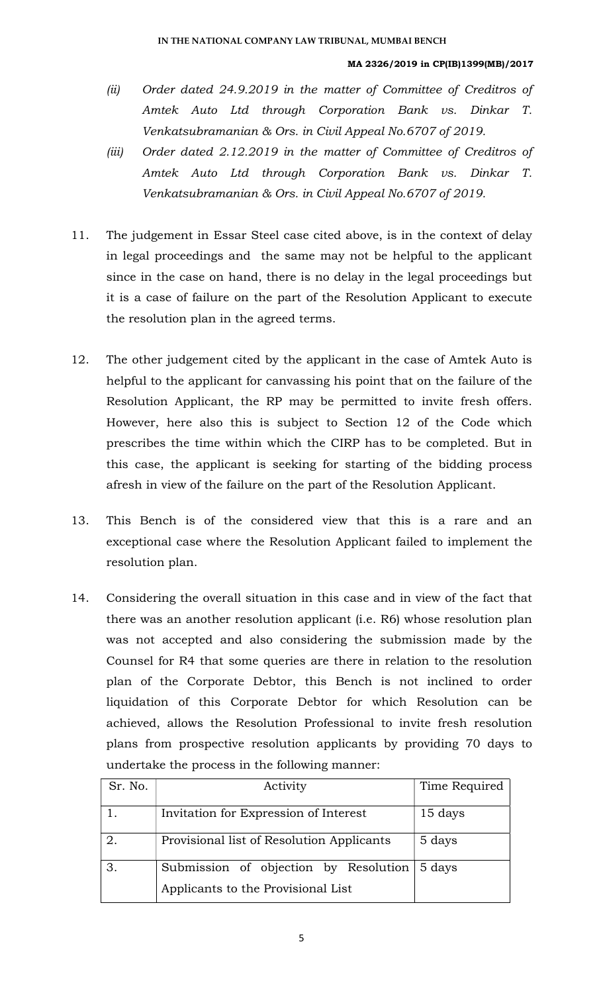#### MA 2326/2019 in CP(IB)1399(MB)/2017

- (ii) Order dated 24.9.2019 in the matter of Committee of Creditros of Amtek Auto Ltd through Corporation Bank vs. Dinkar T. Venkatsubramanian & Ors. in Civil Appeal No.6707 of 2019.
- (iii) Order dated 2.12.2019 in the matter of Committee of Creditros of Amtek Auto Ltd through Corporation Bank vs. Dinkar T. Venkatsubramanian & Ors. in Civil Appeal No.6707 of 2019.
- 11. The judgement in Essar Steel case cited above, is in the context of delay in legal proceedings and the same may not be helpful to the applicant since in the case on hand, there is no delay in the legal proceedings but it is a case of failure on the part of the Resolution Applicant to execute the resolution plan in the agreed terms.
- 12. The other judgement cited by the applicant in the case of Amtek Auto is helpful to the applicant for canvassing his point that on the failure of the Resolution Applicant, the RP may be permitted to invite fresh offers. However, here also this is subject to Section 12 of the Code which prescribes the time within which the CIRP has to be completed. But in this case, the applicant is seeking for starting of the bidding process afresh in view of the failure on the part of the Resolution Applicant.
- 13. This Bench is of the considered view that this is a rare and an exceptional case where the Resolution Applicant failed to implement the resolution plan.
- 14. Considering the overall situation in this case and in view of the fact that there was an another resolution applicant (i.e. R6) whose resolution plan was not accepted and also considering the submission made by the Counsel for R4 that some queries are there in relation to the resolution plan of the Corporate Debtor, this Bench is not inclined to order liquidation of this Corporate Debtor for which Resolution can be achieved, allows the Resolution Professional to invite fresh resolution plans from prospective resolution applicants by providing 70 days to undertake the process in the following manner:

| Sr. No. | Activity                                                                           | Time Required |
|---------|------------------------------------------------------------------------------------|---------------|
|         | Invitation for Expression of Interest                                              | 15 days       |
| 2.      | Provisional list of Resolution Applicants                                          | 5 days        |
|         | Submission of objection by Resolution 5 days<br>Applicants to the Provisional List |               |